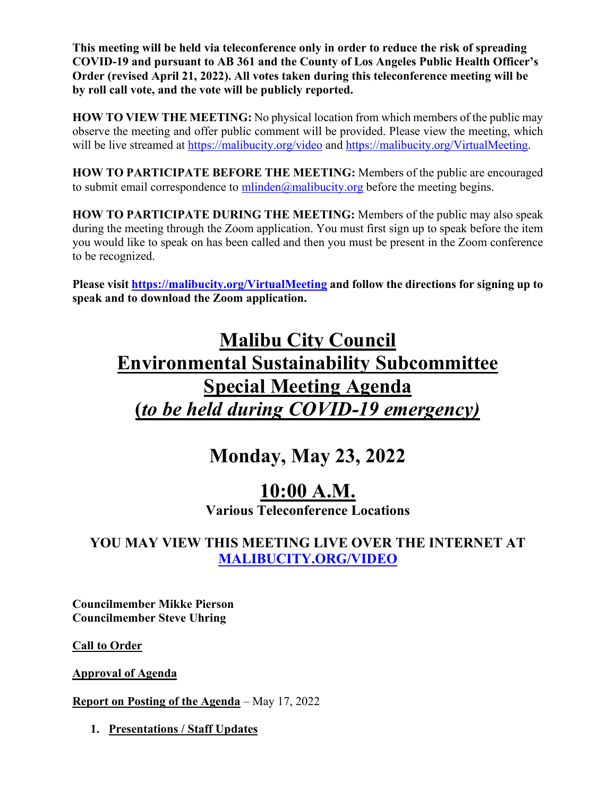**This meeting will be held via teleconference only in order to reduce the risk of spreading COVID-19 and pursuant to AB 361 and the County of Los Angeles Public Health Officer's Order (revised April 21, 2022). All votes taken during this teleconference meeting will be by roll call vote, and the vote will be publicly reported.** 

**HOW TO VIEW THE MEETING:** No physical location from which members of the public may observe the meeting and offer public comment will be provided. Please view the meeting, which will be live streamed at<https://malibucity.org/video> and [https://malibucity.org/VirtualMeeting.](https://malibucity.org/VirtualMeeting)

**HOW TO PARTICIPATE BEFORE THE MEETING:** Members of the public are encouraged to submit email correspondence to  $\frac{\text{m} \cdot \text{d} \cdot \text{d} \cdot \text{d} \cdot \text{d} \cdot \text{d} \cdot \text{d} \cdot \text{d} \cdot \text{d} \cdot \text{d} \cdot \text{d} \cdot \text{d} \cdot \text{d} \cdot \text{d} \cdot \text{d} \cdot \text{d} \cdot \text{d} \cdot \text{d} \cdot \text{d} \cdot \text{d} \cdot \text{d} \cdot \text{d} \cdot \text{d} \cdot \text{d} \cdot \text{d} \cdot \text{d} \cdot \text$ 

**HOW TO PARTICIPATE DURING THE MEETING:** Members of the public may also speak during the meeting through the Zoom application. You must first sign up to speak before the item you would like to speak on has been called and then you must be present in the Zoom conference to be recognized.

**Please visit<https://malibucity.org/VirtualMeeting> and follow the directions for signing up to speak and to download the Zoom application.**

## **Malibu City Council Environmental Sustainability Subcommittee Special Meeting Agenda (***to be held during COVID-19 emergency)*

### **Monday, May 23, 2022**

## **10:00 A.M.**

**Various Teleconference Locations**

### **YOU MAY VIEW THIS MEETING LIVE OVER THE INTERNET AT [MALIBUCITY.ORG/VIDEO](http://www.malibucity.org/video)**

**Councilmember Mikke Pierson Councilmember Steve Uhring**

**Call to Order**

**Approval of Agenda**

**Report on Posting of the Agenda** – May 17, 2022

**1. Presentations / Staff Updates**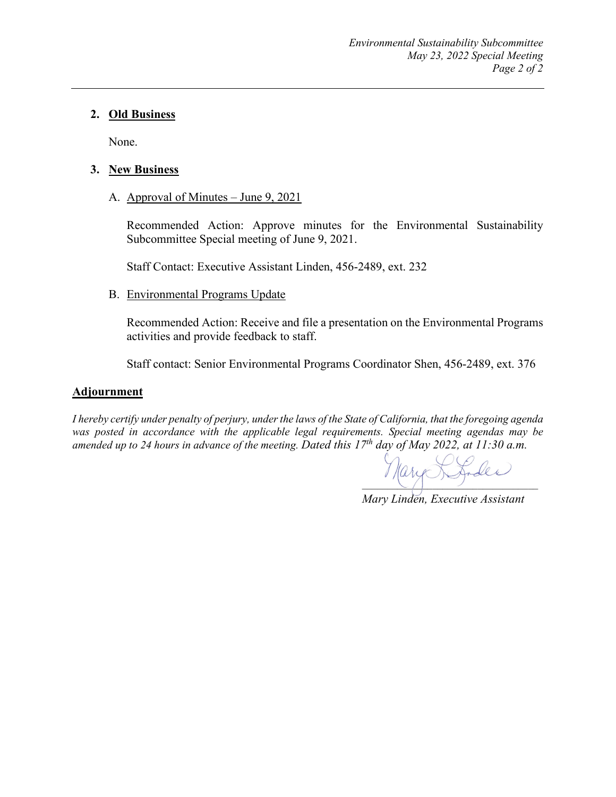#### **2. Old Business**

None.

#### **3. New Business**

A. Approval of Minutes – June 9, 2021

Recommended Action: Approve minutes for the Environmental Sustainability Subcommittee Special meeting of June 9, 2021.

Staff Contact: Executive Assistant Linden, 456-2489, ext. 232

#### B. Environmental Programs Update

Recommended Action: Receive and file a presentation on the Environmental Programs activities and provide feedback to staff.

Staff contact: Senior Environmental Programs Coordinator Shen, 456-2489, ext. 376

#### **Adjournment**

*I hereby certify under penalty of perjury, under the laws of the State of California, that the foregoing agenda was posted in accordance with the applicable legal requirements. Special meeting agendas may be amended up to 24 hours in advance of the meeting. Dated this 17th day of May 2022, at 11:30 a.m.*

 $\mathcal{P}$ arge Strales

*Mary Linden, Executive Assistant*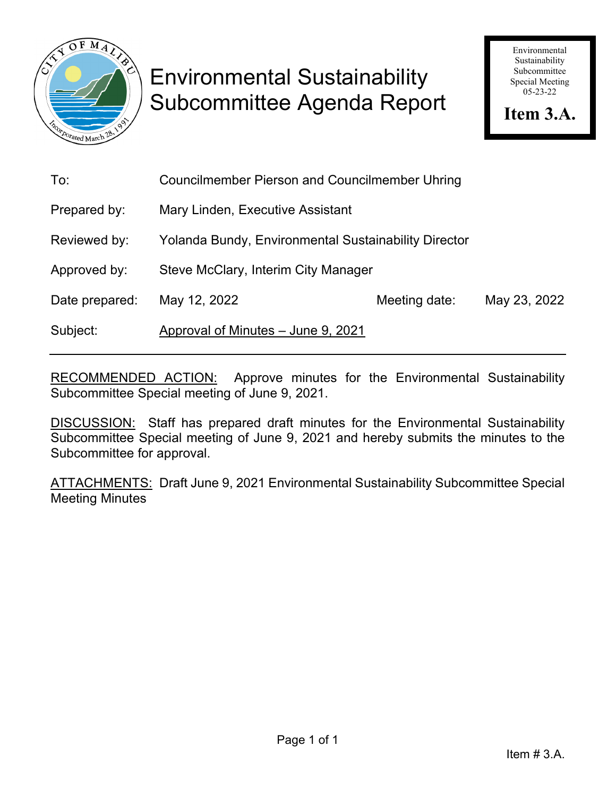

# Environmental Sustainability Subcommittee Agenda Report

Environmental Sustainability Subcommittee Special Meeting 05-23-22

**Item 3.A.**

| To:            | <b>Councilmember Pierson and Councilmember Uhring</b>       |               |              |
|----------------|-------------------------------------------------------------|---------------|--------------|
| Prepared by:   | Mary Linden, Executive Assistant                            |               |              |
| Reviewed by:   | <b>Yolanda Bundy, Environmental Sustainability Director</b> |               |              |
| Approved by:   | Steve McClary, Interim City Manager                         |               |              |
| Date prepared: | May 12, 2022                                                | Meeting date: | May 23, 2022 |
| Subject:       | Approval of Minutes - June 9, 2021                          |               |              |

RECOMMENDED ACTION: Approve minutes for the Environmental Sustainability Subcommittee Special meeting of June 9, 2021.

DISCUSSION: Staff has prepared draft minutes for the Environmental Sustainability Subcommittee Special meeting of June 9, 2021 and hereby submits the minutes to the Subcommittee for approval.

ATTACHMENTS: Draft June 9, 2021 Environmental Sustainability Subcommittee Special Meeting Minutes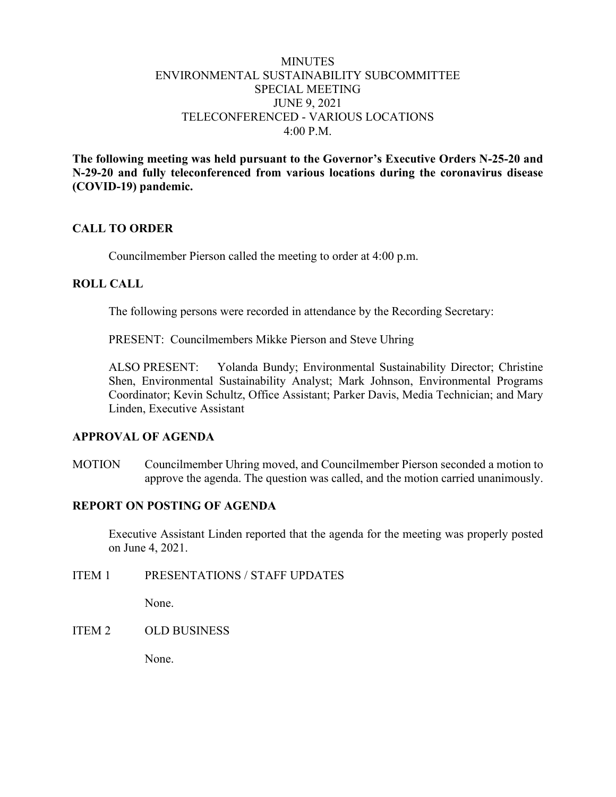#### **MINUTES** ENVIRONMENTAL SUSTAINABILITY SUBCOMMITTEE SPECIAL MEETING JUNE 9, 2021 TELECONFERENCED - VARIOUS LOCATIONS  $4:00 \text{ P M}$

**The following meeting was held pursuant to the Governor's Executive Orders N-25-20 and N-29-20 and fully teleconferenced from various locations during the coronavirus disease (COVID-19) pandemic.**

#### **CALL TO ORDER**

Councilmember Pierson called the meeting to order at 4:00 p.m.

#### **ROLL CALL**

The following persons were recorded in attendance by the Recording Secretary:

PRESENT: Councilmembers Mikke Pierson and Steve Uhring

ALSO PRESENT: Yolanda Bundy; Environmental Sustainability Director; Christine Shen, Environmental Sustainability Analyst; Mark Johnson, Environmental Programs Coordinator; Kevin Schultz, Office Assistant; Parker Davis, Media Technician; and Mary Linden, Executive Assistant

#### **APPROVAL OF AGENDA**

MOTION Councilmember Uhring moved, and Councilmember Pierson seconded a motion to approve the agenda. The question was called, and the motion carried unanimously.

#### **REPORT ON POSTING OF AGENDA**

Executive Assistant Linden reported that the agenda for the meeting was properly posted on June 4, 2021.

ITEM 1 PRESENTATIONS / STAFF UPDATES

None.

#### ITEM 2 OLD BUSINESS

None.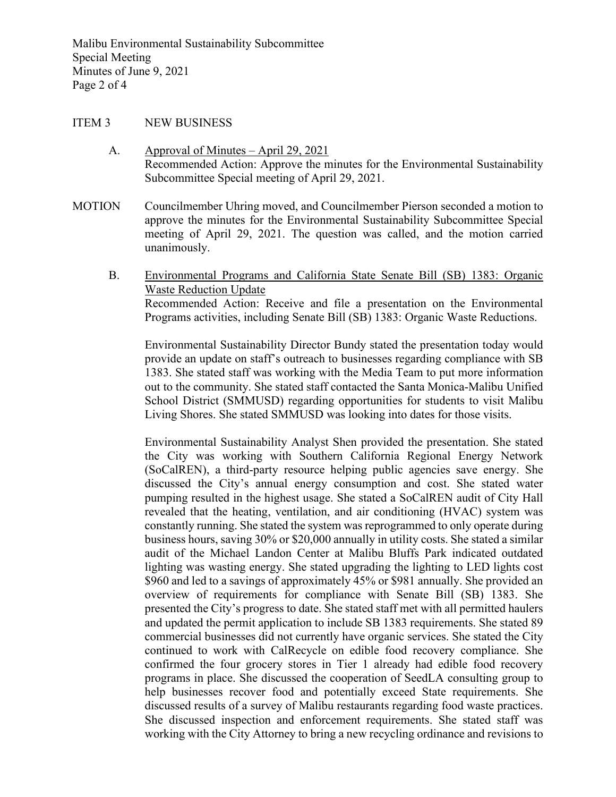#### ITEM 3 NEW BUSINESS

- A. Approval of Minutes April 29, 2021 Recommended Action: Approve the minutes for the Environmental Sustainability Subcommittee Special meeting of April 29, 2021.
- MOTION Councilmember Uhring moved, and Councilmember Pierson seconded a motion to approve the minutes for the Environmental Sustainability Subcommittee Special meeting of April 29, 2021. The question was called, and the motion carried unanimously.
	- B. Environmental Programs and California State Senate Bill (SB) 1383: Organic Waste Reduction Update Recommended Action: Receive and file a presentation on the Environmental Programs activities, including Senate Bill (SB) 1383: Organic Waste Reductions.

Environmental Sustainability Director Bundy stated the presentation today would provide an update on staff's outreach to businesses regarding compliance with SB 1383. She stated staff was working with the Media Team to put more information out to the community. She stated staff contacted the Santa Monica-Malibu Unified School District (SMMUSD) regarding opportunities for students to visit Malibu Living Shores. She stated SMMUSD was looking into dates for those visits.

Environmental Sustainability Analyst Shen provided the presentation. She stated the City was working with Southern California Regional Energy Network (SoCalREN), a third-party resource helping public agencies save energy. She discussed the City's annual energy consumption and cost. She stated water pumping resulted in the highest usage. She stated a SoCalREN audit of City Hall revealed that the heating, ventilation, and air conditioning (HVAC) system was constantly running. She stated the system was reprogrammed to only operate during business hours, saving 30% or \$20,000 annually in utility costs. She stated a similar audit of the Michael Landon Center at Malibu Bluffs Park indicated outdated lighting was wasting energy. She stated upgrading the lighting to LED lights cost \$960 and led to a savings of approximately 45% or \$981 annually. She provided an overview of requirements for compliance with Senate Bill (SB) 1383. She presented the City's progress to date. She stated staff met with all permitted haulers and updated the permit application to include SB 1383 requirements. She stated 89 commercial businesses did not currently have organic services. She stated the City continued to work with CalRecycle on edible food recovery compliance. She confirmed the four grocery stores in Tier 1 already had edible food recovery programs in place. She discussed the cooperation of SeedLA consulting group to help businesses recover food and potentially exceed State requirements. She discussed results of a survey of Malibu restaurants regarding food waste practices. She discussed inspection and enforcement requirements. She stated staff was working with the City Attorney to bring a new recycling ordinance and revisions to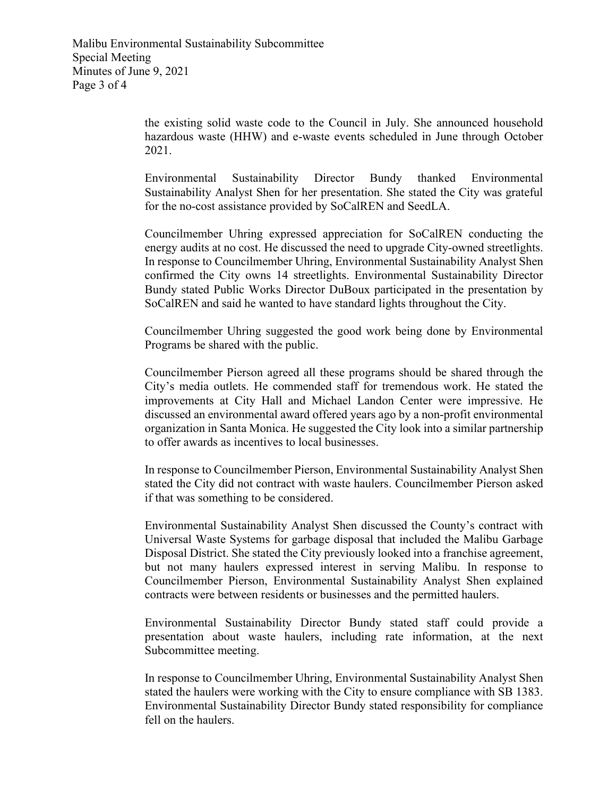the existing solid waste code to the Council in July. She announced household hazardous waste (HHW) and e-waste events scheduled in June through October 2021.

Environmental Sustainability Director Bundy thanked Environmental Sustainability Analyst Shen for her presentation. She stated the City was grateful for the no-cost assistance provided by SoCalREN and SeedLA.

Councilmember Uhring expressed appreciation for SoCalREN conducting the energy audits at no cost. He discussed the need to upgrade City-owned streetlights. In response to Councilmember Uhring, Environmental Sustainability Analyst Shen confirmed the City owns 14 streetlights. Environmental Sustainability Director Bundy stated Public Works Director DuBoux participated in the presentation by SoCalREN and said he wanted to have standard lights throughout the City.

Councilmember Uhring suggested the good work being done by Environmental Programs be shared with the public.

Councilmember Pierson agreed all these programs should be shared through the City's media outlets. He commended staff for tremendous work. He stated the improvements at City Hall and Michael Landon Center were impressive. He discussed an environmental award offered years ago by a non-profit environmental organization in Santa Monica. He suggested the City look into a similar partnership to offer awards as incentives to local businesses.

In response to Councilmember Pierson, Environmental Sustainability Analyst Shen stated the City did not contract with waste haulers. Councilmember Pierson asked if that was something to be considered.

Environmental Sustainability Analyst Shen discussed the County's contract with Universal Waste Systems for garbage disposal that included the Malibu Garbage Disposal District. She stated the City previously looked into a franchise agreement, but not many haulers expressed interest in serving Malibu. In response to Councilmember Pierson, Environmental Sustainability Analyst Shen explained contracts were between residents or businesses and the permitted haulers.

Environmental Sustainability Director Bundy stated staff could provide a presentation about waste haulers, including rate information, at the next Subcommittee meeting.

In response to Councilmember Uhring, Environmental Sustainability Analyst Shen stated the haulers were working with the City to ensure compliance with SB 1383. Environmental Sustainability Director Bundy stated responsibility for compliance fell on the haulers.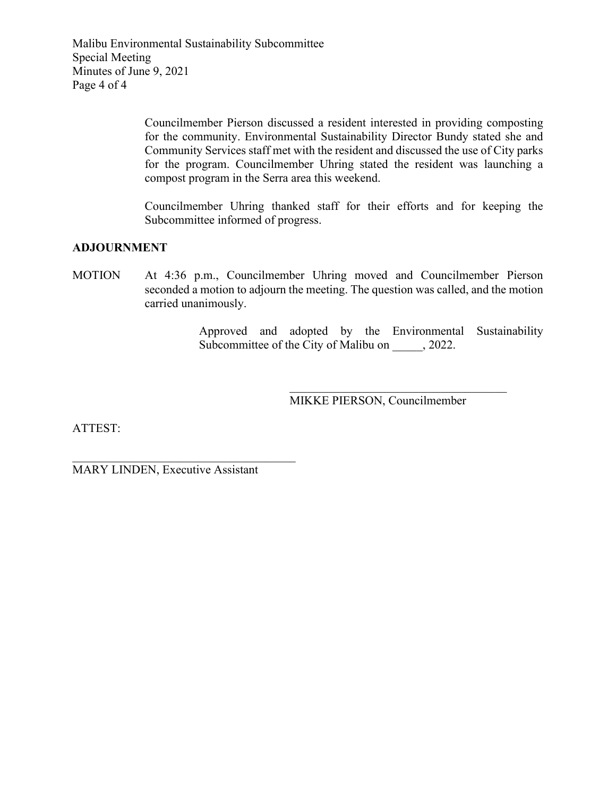Malibu Environmental Sustainability Subcommittee Special Meeting Minutes of June 9, 2021 Page 4 of 4

> Councilmember Pierson discussed a resident interested in providing composting for the community. Environmental Sustainability Director Bundy stated she and Community Services staff met with the resident and discussed the use of City parks for the program. Councilmember Uhring stated the resident was launching a compost program in the Serra area this weekend.

> Councilmember Uhring thanked staff for their efforts and for keeping the Subcommittee informed of progress.

#### **ADJOURNMENT**

MOTION At 4:36 p.m., Councilmember Uhring moved and Councilmember Pierson seconded a motion to adjourn the meeting. The question was called, and the motion carried unanimously.

> Approved and adopted by the Environmental Sustainability Subcommittee of the City of Malibu on  $\qquad$ , 2022.

> > MIKKE PIERSON, Councilmember

 $\overline{\mathcal{L}}$  , and the set of the set of the set of the set of the set of the set of the set of the set of the set of the set of the set of the set of the set of the set of the set of the set of the set of the set of the s

ATTEST:

MARY LINDEN, Executive Assistant

\_\_\_\_\_\_\_\_\_\_\_\_\_\_\_\_\_\_\_\_\_\_\_\_\_\_\_\_\_\_\_\_\_\_\_\_\_